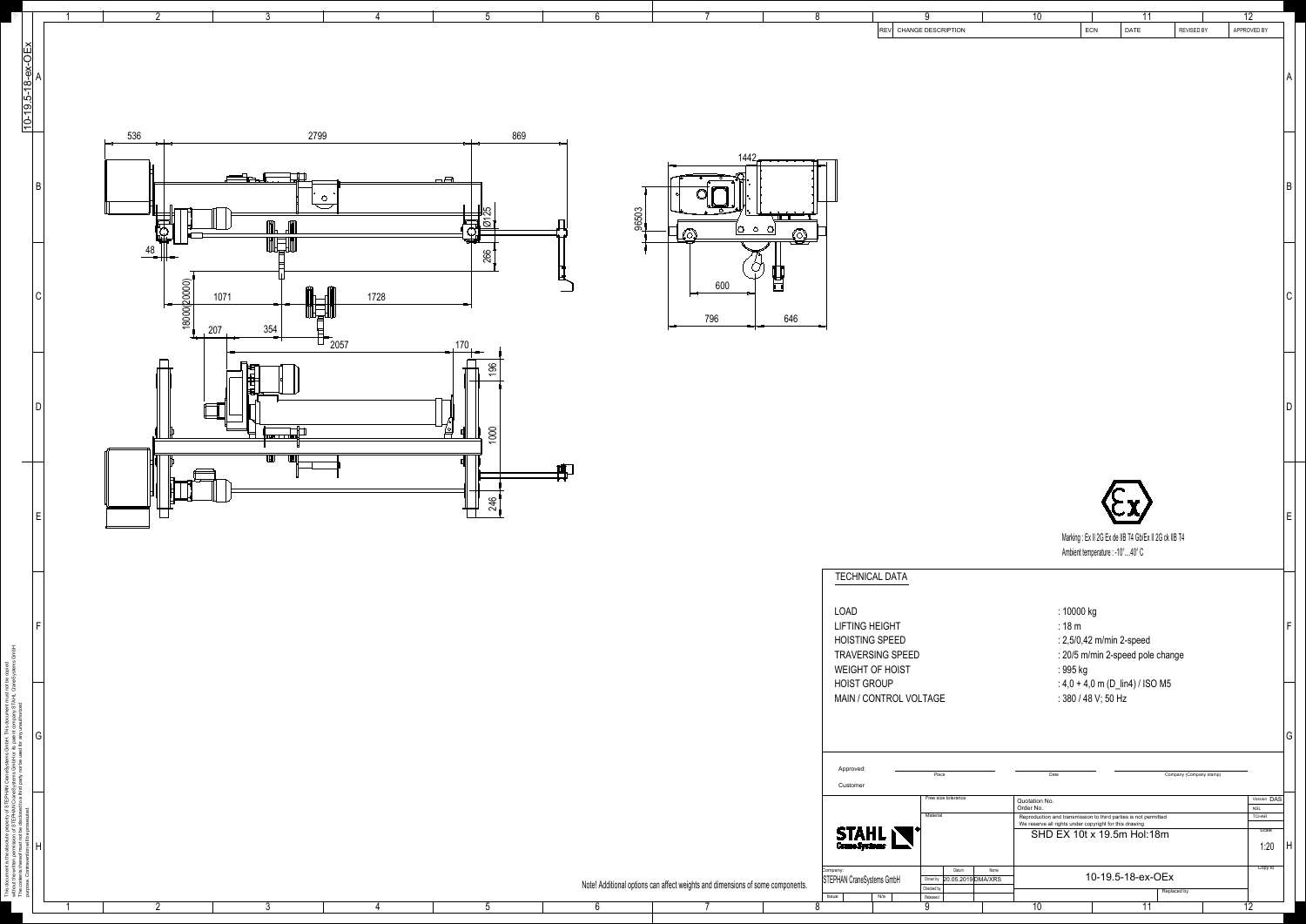| $\overline{2}$<br>$3^{\circ}$<br>5                                                                                                                                                                                                                                           | 6<br>8                                                                                              | 9<br>REV CHANGE DESCRIPTION                                                                                                                                                                                                     | 12<br>10<br>11<br>REVISED BY<br><b>ECN</b><br><b>DATE</b><br>APPROVED BY                                                                                                                                                                                                                                                                         |
|------------------------------------------------------------------------------------------------------------------------------------------------------------------------------------------------------------------------------------------------------------------------------|-----------------------------------------------------------------------------------------------------|---------------------------------------------------------------------------------------------------------------------------------------------------------------------------------------------------------------------------------|--------------------------------------------------------------------------------------------------------------------------------------------------------------------------------------------------------------------------------------------------------------------------------------------------------------------------------------------------|
| 869<br>2799<br>536<br>$\Box$<br>$\circ$<br>$\frac{1}{\sqrt{25}}$<br>m<br>冊<br>◚ <del>ऻ</del><br>48<br>266<br>$\longrightarrow$<br>$\frac{18000(20000)}{2}$<br>1728<br>1071<br>$\leftarrow$<br>$\frac{354}{ }$<br>207<br>$\overline{1}$ 2057<br>$\rightarrow$ 170<br>間<br>196 | $1442 -$<br>96503<br>الطالب<br>$ O\circ O $<br>كحطة<br>600<br>$\overline{\mathbb{L}}$<br>796<br>646 |                                                                                                                                                                                                                                 |                                                                                                                                                                                                                                                                                                                                                  |
| ⊏<br>1000<br>¦oo <del>n i d</del> ood¦<br>$\mathbb{R}$ $\mathbb{R}$<br>246                                                                                                                                                                                                   | Ħ<br>╄╈                                                                                             |                                                                                                                                                                                                                                 | D <br>$\sim$ $\sim$<br>Marking : Ex II 2G Ex de IIB T4 Gb/Ex II 2G ck IIB T4<br>Ambient temperature : -10°40° C                                                                                                                                                                                                                                  |
|                                                                                                                                                                                                                                                                              |                                                                                                     | <b>TECHNICAL DATA</b><br>LOAD<br><b>LIFTING HEIGHT</b><br><b>HOISTING SPEED</b><br>TRAVERSING SPEED<br>WEIGHT OF HOIST<br><b>HOIST GROUP</b><br>MAIN / CONTROL VOLTAGE                                                          | : 10000 kg<br>:18 m<br>: 2,5/0,42 m/min 2-speed<br>: 20/5 m/min 2-speed pole change<br>: 995 kg<br>: 4,0 + 4,0 m (D_lin4) / ISO M5<br>: 380 / 48 V; 50 Hz<br> G                                                                                                                                                                                  |
| റ                                                                                                                                                                                                                                                                            | Note! Additional options can affect weights and dimensions of some components.                      | Approved<br>Place<br>Customer<br>Free size tolerance<br>Material<br><b>STAHL</b><br>Datum<br>Name<br>Company:<br>STEPHAN CraneSystems GmbH<br>Drown by 20.05.2019 DMA/XRS<br>Checked by<br>Released<br>Issue<br>N/a<br>$\Omega$ | Date<br>Company (Company stamp)<br>Version DAS<br>Quotation No.<br>NSL<br>Order No.<br><b>TCHAR</b><br>Reproduction and transmission to third parties is not permitted<br>We reserve all rights under copyright for this drawing<br>Scale<br>SHD EX 10t x 19.5m Hol:18m<br>1:20<br>Copy to<br>10-19.5-18-ex-OEx<br>Replaced by<br>12<br>10<br>11 |